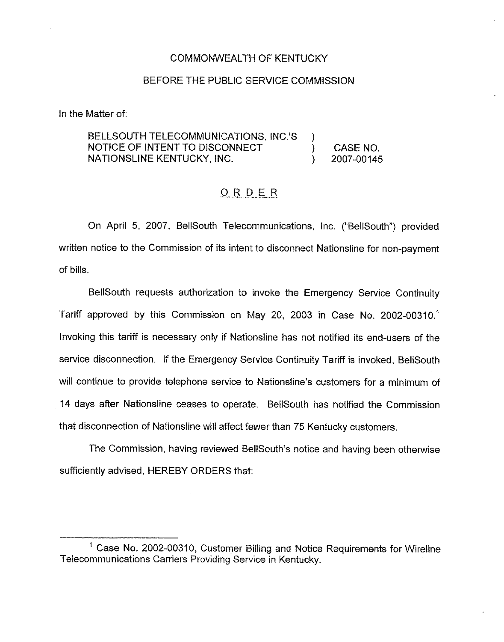## COMMONWEALTH OF KENTUCKY

## BEFORE THE PUBLIC SERVICE COMMISSION

In the Matter of:

## BELLSOUTH TELECOMMUNICATIONS, INC.'S  $\mathcal{Y}$ NOTICE OF INTENT TO DISCONNECT ) CASE NO.<br>2007-00145 NATIONSLINE KENTUCKY, INC. ) 2007-00145

## ORDER

On April 5, 2007, BellSouth Telecommunications, inc. ("BellSouth") provided written notice to the Commission of its intent to disconnect Nationsline for non-payment of bills.

BellSouth requests authorization to invoke the Emergency Service Continuity Tariff approved by this Commission on May 20, 2003 in Case No. 2002-00310.<sup>1</sup> Invoking this tariff is necessary only if Nationsline has not notified its end-users of the service disconnection. If the Emergency Service Continuity Tariff is invoked, BellSouth will continue to provide telephone service to Nationsline's customers for a minimum of 14 days after Nationsline ceases to operate. BellSouth has notified the Commission that disconnection of Nationsline will affect fewer than 75 Kentucky customers.

The Commission, having reviewed BellSouth's notice and having been otherwise sufficiently advised, HEREBY ORDERS that:

 $<sup>1</sup>$  Case No. 2002-00310, Customer Billing and Notice Requirements for Wireline</sup> Telecommunications Carriers Providing Service in Kentucky.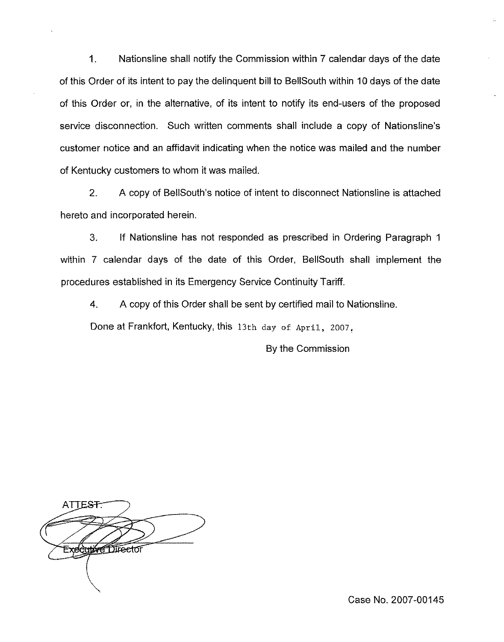$\mathbf{1}$ . Nationsline shall notify the Commission within 7 calendar days of the date of this Order of its intent to pay the delinquent bill to BellSouth within 10 days of the date of this Order or, in the alternative, of its intent to notify its end-users of the proposed service disconnection. Such written comments shall include a copy of Nationsline's customer notice and an affidavit indicating when the notice was mailed and the number of Kentucky customers to whom it was mailed.

2. A copy of BellSouth's notice of intent to disconnect Nationsline is attached hereto and incorporated herein.

3. If Nationsline has not responded as prescribed in Ordering Paragraph <sup>1</sup> within 7 calendar days of the date of this Order, BellSouth shall implement the procedures established in its Emergency Service Continuity Tariff.

4. A copy of this Order shall be sent by certified mail to Nationsline.

Done at Frankfort, Kentucky, this 13th day of April, 2007.

By the Commission

ATTEST **Executive Director** 

Case No. 2007-00145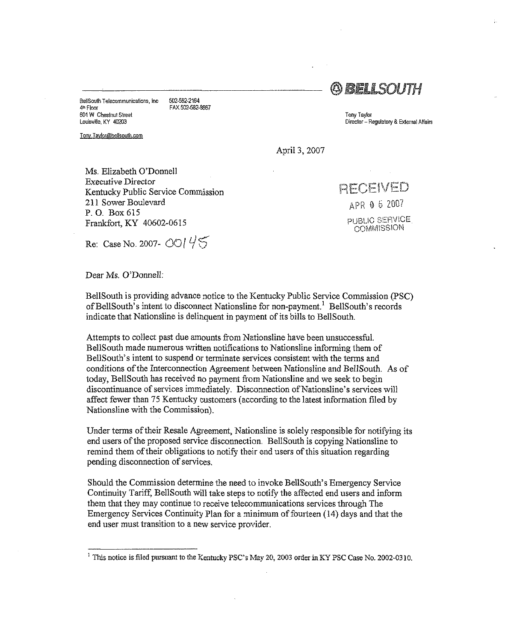BellSouth Telecommunications, Inc 502-582-2164<br>4th Floor EAX 502-582err Flonr FAX 502-582.8887 801 yf Chestnut Street Louisville, Ky 40203

Tony.Taylor@bellsouth.com

**BELLSOUTH** 

Tony Taylor Director - Regulatory & External Affairs

April 3, 2007

Ms. Elizabeth O'Donnell Executive Director Kentucky Public Service Commission 211 Sower Boulevard P. O. Box 615 Frankfort, KY 40602-0615

I t APR 0 5 2007 PUBLIC SERVICE COMMISSION

Re: Case No. 2007 -  $\frac{100145}{5}$ 

Dear Ms. O'Donnell:

BellSouth is providing advance notice to the Kentucky Public Service Commission (PSC) of BellSouth's intent to disconnect Nationsline for non-payment.<sup>1</sup> BellSouth's records indicate that Nationsline is delinquent in payment of its bills to BellSouth.

Attempts to collect past due amounts from Nationsline have been unsuccessful. BellSouth made numerous written notifications to Nationsline informing them of BellSouth's intent to suspend or terminate services consistent with the terms and conditions of the Interconnection Agreement between Nationsline and BellSouth. As of today, BellSouth has received no payment from Nationsline and we seek to begin discontinuance of services immediately. Disconnection of Nationsline's services will affect fewer than 75 Kentucky customers (according to the latest information filed by Nationsline with the Commission),

Under terms of their Resale Agreement, Nationsline is solely responsible for notifying its end users ofthe proposed service disconnection. BeHSouth is copying Nationsline to remind them of their obligations to notify their end users of this situation regarding pending disconnection of services,

Should the Commission determine the need to invoke Bellgouth's Emergency Service Continuity Tariff, BellSouth will take steps to notify the alfected end users and inform them that they may continue to receive telecommunications services through The Emergency Services Continuity Plan for a minimum of fourteen  $(14)$  days and that the end user must transition to a new service provider.

<sup>&</sup>lt;sup>1</sup> This notice is filed pursuant to the Kentucky PSC's May 20, 2003 order in KY PSC Case No. 2002-0310.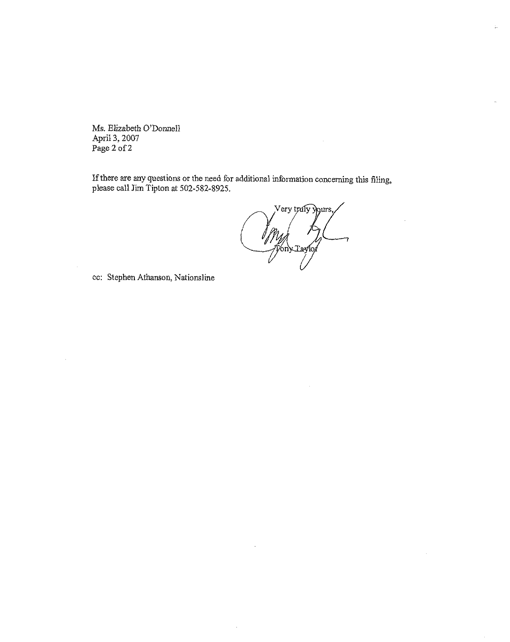Ms. Blizabeth O'Donnell April 3, 2007 Page 2 of 2

If there are any questions or the need for additional information concerning this filing, please call Jim Tipton at 502-582-8925.

Very trafy yours, I My A

i.

cc: Stephen Athanson, Nationsline